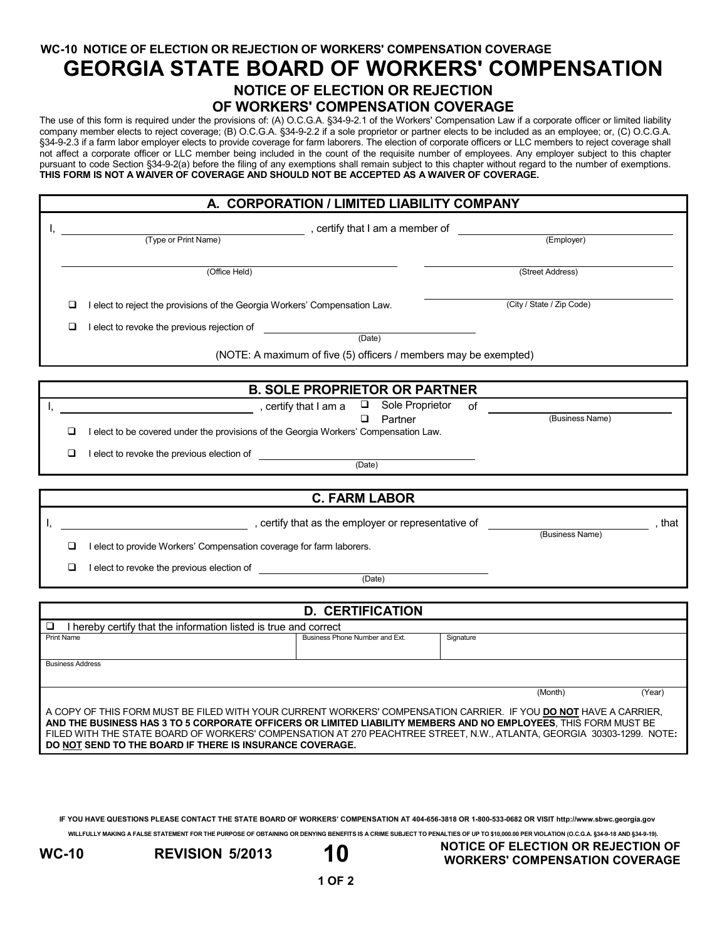**WC-10 NOTICE OF ELECTION OR REJECTION OF WORKERS' COMPENSATION COVERAGE**

## **GEORGIA STATE BOARD OF WORKERS' COMPENSATION**

## **NOTICE OF ELECTION OR REJECTION OF WORKERS' COMPENSATION COVERAGE**

The use of this form is required under the provisions of: (A) O.C.G.A. §34-9-2.1 of the Workers' Compensation Law if a corporate officer or limited liability company member elects to reject coverage; (B) O.C.G.A. §34-9-2.2 if a sole proprietor or partner elects to be included as an employee; or, (C) O.C.G.A. §34-9-2.3 if a farm labor employer elects to provide coverage for farm laborers. The election of corporate officers or LLC members to reject coverage shall not affect a corporate officer or LLC member being included in the count of the requisite number of employees. Any employer subject to this chapter pursuant to code Section §34-9-2(a) before the filing of any exemptions shall remain subject to this chapter without regard to the number of exemptions. **THIS FORM IS NOT A WAIVER OF COVERAGE AND SHOULD NOT BE ACCEPTED AS A WAIVER OF COVERAGE.**

## **A. CORPORATION / LIMITED LIABILITY COMPANY**

|  | , certify that I am a member of      |                                                                                                      |                           |  |  |  |  |
|--|--------------------------------------|------------------------------------------------------------------------------------------------------|---------------------------|--|--|--|--|
|  |                                      | (Type or Print Name)                                                                                 | (Employer)                |  |  |  |  |
|  |                                      |                                                                                                      |                           |  |  |  |  |
|  |                                      | (Office Held)                                                                                        | (Street Address)          |  |  |  |  |
|  | □                                    | I elect to reject the provisions of the Georgia Workers' Compensation Law.                           | (City / State / Zip Code) |  |  |  |  |
|  | □                                    | I elect to revoke the previous rejection of                                                          |                           |  |  |  |  |
|  |                                      | (Date)                                                                                               |                           |  |  |  |  |
|  |                                      | (NOTE: A maximum of five (5) officers / members may be exempted)                                     |                           |  |  |  |  |
|  |                                      |                                                                                                      |                           |  |  |  |  |
|  | <b>B. SOLE PROPRIETOR OR PARTNER</b> |                                                                                                      |                           |  |  |  |  |
|  |                                      | Sole Proprietor<br>$\Box$<br>οf                                                                      | (Business Name)           |  |  |  |  |
|  | ப                                    | ◻<br>Partner<br>I elect to be covered under the provisions of the Georgia Workers' Compensation Law. |                           |  |  |  |  |
|  | □                                    | I elect to revoke the previous election of                                                           |                           |  |  |  |  |
|  |                                      | (Date)                                                                                               |                           |  |  |  |  |
|  |                                      |                                                                                                      |                           |  |  |  |  |
|  | <b>C. FARM LABOR</b>                 |                                                                                                      |                           |  |  |  |  |
|  |                                      | , certify that as the employer or representative of                                                  | that,                     |  |  |  |  |
|  |                                      |                                                                                                      | (Business Name)           |  |  |  |  |
|  | ◻                                    | I elect to provide Workers' Compensation coverage for farm laborers.                                 |                           |  |  |  |  |
|  | □                                    | I elect to revoke the previous election of                                                           |                           |  |  |  |  |
|  |                                      | (Date)                                                                                               |                           |  |  |  |  |
|  |                                      |                                                                                                      |                           |  |  |  |  |
|  | <b>D. CERTIFICATION</b>              |                                                                                                      |                           |  |  |  |  |

| <u>D. VENII IVATIVN</u>                                                                                                                                                                                                                                                                                                                                                                                                  |                                |           |        |  |  |  |
|--------------------------------------------------------------------------------------------------------------------------------------------------------------------------------------------------------------------------------------------------------------------------------------------------------------------------------------------------------------------------------------------------------------------------|--------------------------------|-----------|--------|--|--|--|
| I hereby certify that the information listed is true and correct                                                                                                                                                                                                                                                                                                                                                         |                                |           |        |  |  |  |
| <b>Print Name</b>                                                                                                                                                                                                                                                                                                                                                                                                        | Business Phone Number and Ext. | Signature |        |  |  |  |
|                                                                                                                                                                                                                                                                                                                                                                                                                          |                                |           |        |  |  |  |
| <b>Business Address</b>                                                                                                                                                                                                                                                                                                                                                                                                  |                                |           |        |  |  |  |
|                                                                                                                                                                                                                                                                                                                                                                                                                          |                                |           |        |  |  |  |
|                                                                                                                                                                                                                                                                                                                                                                                                                          |                                | (Month)   | (Year) |  |  |  |
| A COPY OF THIS FORM MUST BE FILED WITH YOUR CURRENT WORKERS' COMPENSATION CARRIER. IF YOU DO NOT HAVE A CARRIER,<br>AND THE BUSINESS HAS 3 TO 5 CORPORATE OFFICERS OR LIMITED LIABILITY MEMBERS AND NO EMPLOYEES. THIS FORM MUST BE<br>FILED WITH THE STATE BOARD OF WORKERS' COMPENSATION AT 270 PEACHTREE STREET, N.W., ATLANTA, GEORGIA 30303-1299. NOTE:<br>DO NOT SEND TO THE BOARD IF THERE IS INSURANCE COVERAGE. |                                |           |        |  |  |  |

**IF YOU HAVE QUESTIONS PLEASE CONTACT THE STATE BOARD OF WORKERS' COMPENSATION AT 404-656-3818 OR 1-800-533-0682 OR VISIT http://www.sbwc.georgia.gov**

**WILLFULLY MAKING A FALSE STATEMENT FOR THE PURPOSE OF OBTAINING OR DENYING BENEFITS IS A CRIME SUBJECT TO PENALTIES OF UP TO \$10,000.00 PER VIOLATION (O.C.G.A. §34-9-18 AND §34-9-19).**

**WC-10 REVISION 5/2013 10 NOTICE OF ELECTION OR REJECTION OF WORKERS' COMPENSATION COVERAGE**